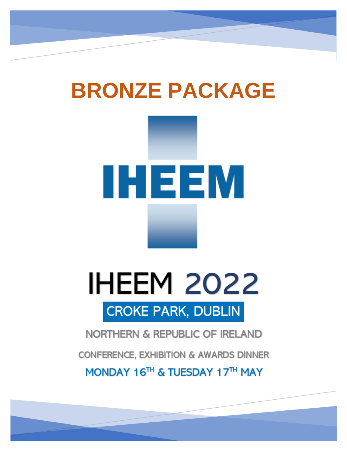# **BRONZE PACKAGE**

# **IHEEM**

# **IHEEM 2022 CROKE PARK, DUBLIN**

# **NORTHERN & REPUBLIC OF IRELAND**

**CONFERENCE, EXHIBITION & AWARDS DINNER** 

MONDAY 16<sup>TH</sup> & TUESDAY 17TH MAY

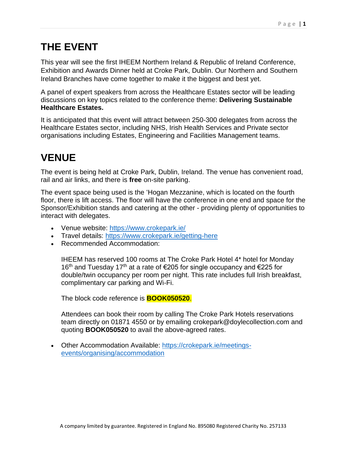# **THE EVENT**

This year will see the first IHEEM Northern Ireland & Republic of Ireland Conference, Exhibition and Awards Dinner held at Croke Park, Dublin. Our Northern and Southern Ireland Branches have come together to make it the biggest and best yet.

A panel of expert speakers from across the Healthcare Estates sector will be leading discussions on key topics related to the conference theme: **Delivering Sustainable Healthcare Estates.**

It is anticipated that this event will attract between 250-300 delegates from across the Healthcare Estates sector, including NHS, Irish Health Services and Private sector organisations including Estates, Engineering and Facilities Management teams.

# **VENUE**

The event is being held at Croke Park, Dublin, Ireland. The venue has convenient road, rail and air links, and there is **free** on-site parking.

The event space being used is the 'Hogan Mezzanine, which is located on the fourth floor, there is lift access. The floor will have the conference in one end and space for the Sponsor/Exhibition stands and catering at the other - providing plenty of opportunities to interact with delegates.

- Venue website:<https://www.crokepark.ie/>
- Travel details:<https://www.crokepark.ie/getting-here>
- Recommended Accommodation:

IHEEM has reserved 100 rooms at [The Croke Park Hotel](https://www.doylecollection.com/hotels/the-croke-park-hotel?utm_source=google&utm_campaign=croke-park&utm_medium=local) 4\* hotel for Monday 16<sup>th</sup> and Tuesday 17<sup>th</sup> at a rate of €205 for single occupancy and €225 for double/twin occupancy per room per night. This rate includes full Irish breakfast, complimentary car parking and Wi-Fi.

The block code reference is **BOOK050520**.

Attendees can book their room by calling The Croke Park Hotels reservations team directly on 01871 4550 or by emailing [crokepark@doylecollection.com](mailto:crokepark@doylecollection.com) and quoting **BOOK050520** to avail the above-agreed rates.

• Other Accommodation Available: [https://crokepark.ie/meetings](https://crokepark.ie/meetings-events/organising/accommodation)[events/organising/accommodation](https://crokepark.ie/meetings-events/organising/accommodation)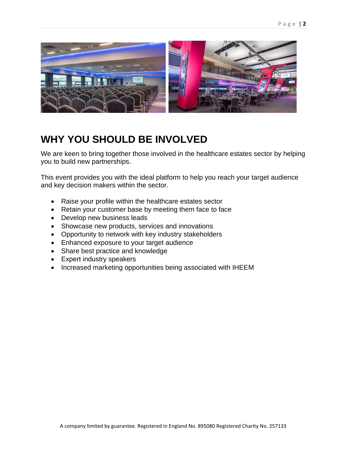

### **WHY YOU SHOULD BE INVOLVED**

We are keen to bring together those involved in the healthcare estates sector by helping you to build new partnerships.

This event provides you with the ideal platform to help you reach your target audience and key decision makers within the sector.

- Raise your profile within the healthcare estates sector
- Retain your customer base by meeting them face to face
- Develop new business leads
- Showcase new products, services and innovations
- Opportunity to network with key industry stakeholders
- Enhanced exposure to your target audience
- Share best practice and knowledge
- Expert industry speakers
- Increased marketing opportunities being associated with IHEEM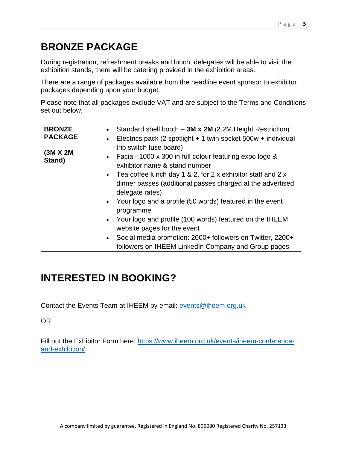# **BRONZE PACKAGE**

During registration, refreshment breaks and lunch, delegates will be able to visit the exhibition stands, there will be catering provided in the exhibition areas.

There are a range of packages available from the headline event sponsor to exhibitor packages depending upon your budget.

Please note that all packages exclude VAT and are subject to the Terms and Conditions set out below.

| <b>BRONZE</b>      | Standard shell booth $-3M \times 2M$ (2.2M Height Restriction)  |
|--------------------|-----------------------------------------------------------------|
| <b>PACKAGE</b>     | • Electrics pack (2 spotlight + 1 twin socket 500w + individual |
| (3M X 2M<br>Stand) | trip switch fuse board)                                         |
|                    | • Facia - 1000 x 300 in full colour featuring expo logo $\&$    |
|                    | exhibitor name & stand number                                   |
|                    | • Tea coffee lunch day 1 & 2, for 2 x exhibitor staff and 2 x   |
|                    | dinner passes (additional passes charged at the advertised      |
|                    | delegate rates)                                                 |
|                    | • Your logo and a profile (50 words) featured in the event      |
|                    | programme                                                       |
|                    | • Your logo and profile (100 words) featured on the IHEEM       |
|                    | website pages for the event                                     |
|                    | Social media promotion: 2000+ followers on Twitter, 2200+       |
|                    | followers on IHEEM LinkedIn Company and Group pages             |

# **INTERESTED IN BOOKING?**

Contact the Events Team at IHEEM by email: [events@iheem.org.uk](mailto:events@iheem.org.uk)

OR

Fill out the Exhibitor Form here: [https://www.iheem.org.uk/events/iheem-conference](https://www.iheem.org.uk/events/iheem-conference-and-exhibition/)[and-exhibition/](https://www.iheem.org.uk/events/iheem-conference-and-exhibition/)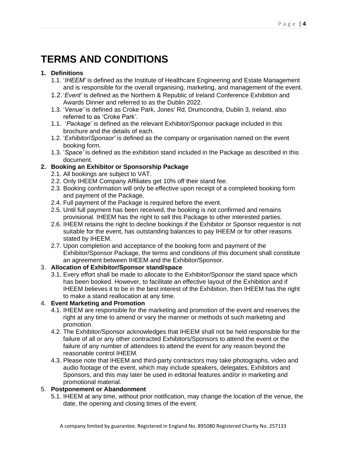# **TERMS AND CONDITIONS**

#### **1. Definitions**

- 1.1. '*IHEEM'* is defined as the Institute of Healthcare Engineering and Estate Management and is responsible for the overall organising, marketing, and management of the event.
- 1.2.'*Event'* is defined as the Northern & Republic of Ireland Conference Exhibition and Awards Dinner and referred to as the Dublin 2022.
- 1.3. '*Venue'* is defined as Croke Park, Jones' Rd, Drumcondra, Dublin 3, Ireland, also referred to as 'Croke Park'.
- 1.1. '*Package'* is defined as the relevant Exhibitor/Sponsor package included in this brochure and the details of each.
- 1.2. '*Exhibitor*/*Sponsor'* is defined as the company or organisation named on the event booking form.
- 1.3. '*Space'* is defined as the exhibition stand included in the Package as described in this document.

#### **2. Booking an Exhibitor or Sponsorship Package**

- 2.1. All bookings are subject to VAT.
- 2.2. Only IHEEM Company Affiliates get 10% off their stand fee.
- 2.3. Booking confirmation will only be effective upon receipt of a completed booking form and payment of the Package.
- 2.4. Full payment of the Package is required before the event.
- 2.5. Until full payment has been received, the booking is not confirmed and remains provisional. IHEEM has the right to sell this Package to other interested parties.
- 2.6. IHEEM retains the right to decline bookings if the Exhibitor or Sponsor requestor is not suitable for the event, has outstanding balances to pay IHEEM or for other reasons stated by IHEEM.
- 2.7. Upon completion and acceptance of the booking form and payment of the Exhibitor/Sponsor Package, the terms and conditions of this document shall constitute an agreement between IHEEM and the Exhibitor/Sponsor.

#### 3. **Allocation of Exhibitor/Sponsor stand/space**

3.1. Every effort shall be made to allocate to the Exhibitor/Sponsor the stand space which has been booked. However, to facilitate an effective layout of the Exhibition and if IHEEM believes it to be in the best interest of the Exhibition, then IHEEM has the right to make a stand reallocation at any time.

#### 4. **Event Marketing and Promotion**

- 4.1. IHEEM are responsible for the marketing and promotion of the event and reserves the right at any time to amend or vary the manner or methods of such marketing and promotion.
- 4.2. The Exhibitor/Sponsor acknowledges that IHEEM shall not be held responsible for the failure of all or any other contracted Exhibitors/Sponsors to attend the event or the failure of any number of attendees to attend the event for any reason beyond the reasonable control IHEEM.
- 4.3. Please note that IHEEM and third-party contractors may take photographs, video and audio footage of the event, which may include speakers, delegates, Exhibitors and Sponsors, and this may later be used in editorial features and/or in marketing and promotional material.

#### 5. **Postponement or Abandonment**

5.1. IHEEM at any time, without prior notification, may change the location of the venue, the date, the opening and closing times of the event.